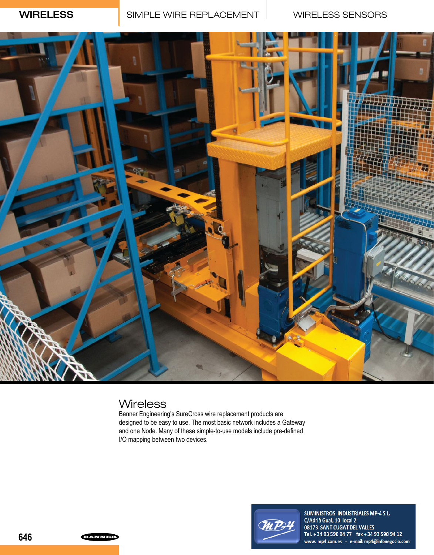

## **Wireless**

Banner Engineering's SureCross wire replacement products are designed to be easy to use. The most basic network includes a Gateway and one Node. Many of these simple-to-use models include pre-defined I/O mapping between two devices.



SUMINISTROS INDUSTRIALES MP-4 S.L. C/Adrià Gual, 10 local 2 08173 SANT CUGAT DEL VALLES Tel. + 34 93 590 94 77 fax + 34 93 590 94 12 www.mp4.com.es - e-mail: mp4@infonegocio.com

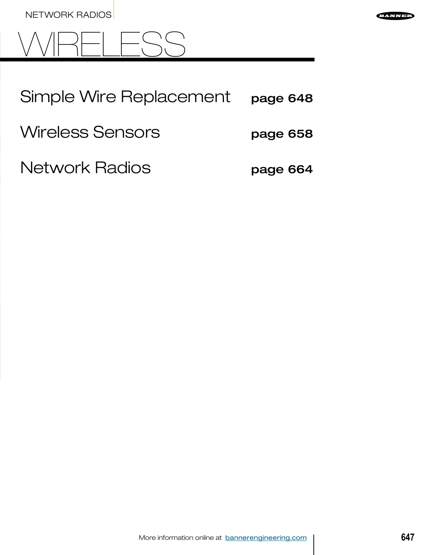



| Simple Wire Replacement | page 648 |
|-------------------------|----------|
|-------------------------|----------|

Wireless Sensors **page 658** 

Network Radios **page 664** 

More information online at bannerengineering.com **647**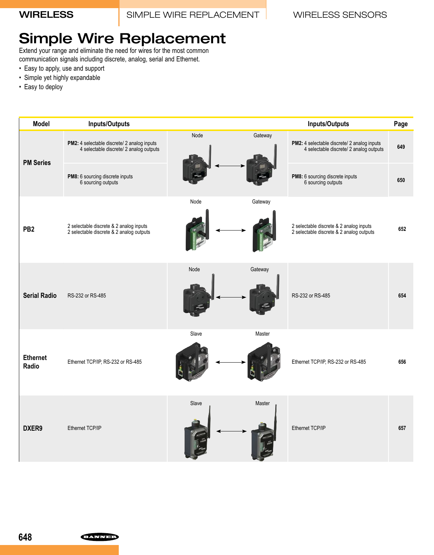# Simple Wire Replacement

Extend your range and eliminate the need for wires for the most common communication signals including discrete, analog, serial and Ethernet.

- Easy to apply, use and support
- Simple yet highly expandable
- Easy to deploy

| <b>Model</b>             | <b>Inputs/Outputs</b>                                                                  |       |         | <b>Inputs/Outputs</b>                                                                  | Page |
|--------------------------|----------------------------------------------------------------------------------------|-------|---------|----------------------------------------------------------------------------------------|------|
| <b>PM Series</b>         | PM2: 4 selectable discrete/ 2 analog inputs<br>4 selectable discrete/ 2 analog outputs | Node  | Gateway | PM2: 4 selectable discrete/ 2 analog inputs<br>4 selectable discrete/ 2 analog outputs | 649  |
|                          | PM8: 6 sourcing discrete inputs<br>6 sourcing outputs                                  |       |         | PM8: 6 sourcing discrete inputs<br>6 sourcing outputs                                  | 650  |
|                          |                                                                                        | Node  | Gateway |                                                                                        |      |
| PB <sub>2</sub>          | 2 selectable discrete & 2 analog inputs<br>2 selectable discrete & 2 analog outputs    |       |         | 2 selectable discrete & 2 analog inputs<br>2 selectable discrete & 2 analog outputs    | 652  |
|                          |                                                                                        | Node  | Gateway |                                                                                        |      |
| <b>Serial Radio</b>      | RS-232 or RS-485                                                                       |       |         | RS-232 or RS-485                                                                       | 654  |
|                          |                                                                                        | Slave | Master  |                                                                                        |      |
| <b>Ethernet</b><br>Radio | Ethernet TCP/IP, RS-232 or RS-485                                                      |       |         | Ethernet TCP/IP, RS-232 or RS-485                                                      | 656  |
|                          |                                                                                        | Slave | Master  |                                                                                        |      |
| DXER9                    | Ethernet TCP/IP                                                                        |       |         | Ethernet TCP/IP                                                                        | 657  |

**EANNED**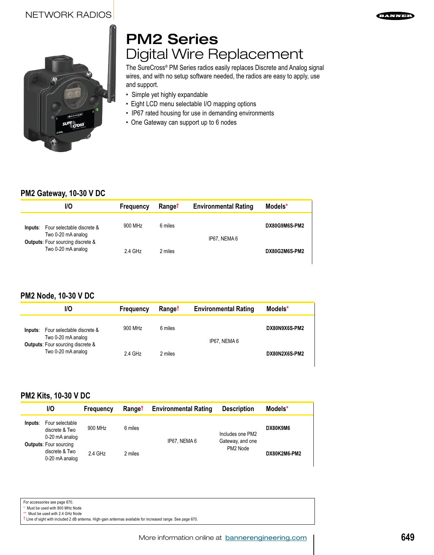### NETWORK RADIOS





# PM2 Series Digital Wire Replacement

The SureCross® PM Series radios easily replaces Discrete and Analog signal wires, and with no setup software needed, the radios are easy to apply, use and support.

- Simple yet highly expandable
- Eight LCD menu selectable I/O mapping options
- IP67 rated housing for use in demanding environments
- One Gateway can support up to 6 nodes

### **PM2 Gateway, 10-30 V DC**

| VO.                                                            | Frequency | <b>Ranget</b> | <b>Environmental Rating</b> | Models*       |
|----------------------------------------------------------------|-----------|---------------|-----------------------------|---------------|
| Four selectable discrete &<br>Inputs:<br>Two 0-20 mA analog    | 900 MHz   | 6 miles       | IP67. NEMA 6                | DX80G9M6S-PM2 |
| <b>Outputs:</b> Four sourcing discrete &<br>Two 0-20 mA analog | 2.4 GHz   | 2 miles       |                             | DX80G2M6S-PM2 |

### **PM2 Node, 10-30 V DC**

| 1/O                                                            | <b>Frequency</b> | <b>Ranget</b> | <b>Environmental Rating</b> | Models*       |
|----------------------------------------------------------------|------------------|---------------|-----------------------------|---------------|
| Four selectable discrete &<br>Inputs:<br>Two 0-20 mA analog    | 900 MHz          | 6 miles       | IP67. NEMA 6                | DX80N9X6S-PM2 |
| <b>Outputs:</b> Four sourcing discrete &<br>Two 0-20 mA analog | $2.4$ GHz        | 2 miles       |                             | DX80N2X6S-PM2 |

### **PM2 Kits, 10-30 V DC**

|         | 1/O                                                               | <b>Frequency</b> | Range <sup>†</sup> | <b>Environmental Rating</b> | <b>Description</b>           | Models*      |
|---------|-------------------------------------------------------------------|------------------|--------------------|-----------------------------|------------------------------|--------------|
| Inputs: | Four selectable<br>discrete & Two<br>0-20 mA analog               | 900 MHz          | 6 miles            |                             | Includes one PM2             | DX80K9M6     |
|         | <b>Outputs: Four sourcing</b><br>discrete & Two<br>0-20 mA analog | 2.4 GHz          | 2 miles            | IP67. NEMA 6                | Gateway, and one<br>PM2 Node | DX80K2M6-PM2 |

For accessories see page 670.

\* Must be used with 900 MHz Node

\*\* Must be used with 2.4 GHz Node

 $\dagger$  Line of sight with included 2 dB antenna. High-gain antennas available for increased range. See page 670.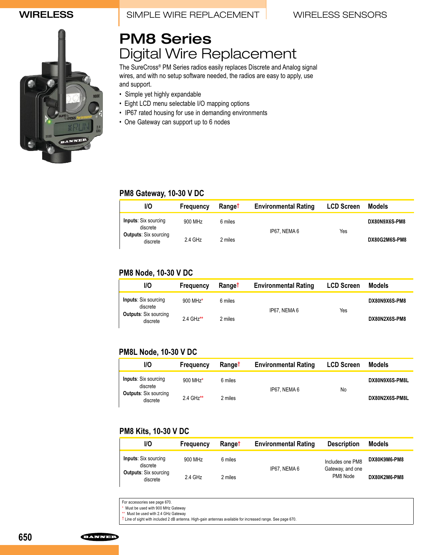### WIRELESS **I** SIMPLE WIRE REPLACEMENT WIRELESS SENSORS



# PM8 Series Digital Wire Replacement

The SureCross® PM Series radios easily replaces Discrete and Analog signal wires, and with no setup software needed, the radios are easy to apply, use and support.

- Simple yet highly expandable
- Eight LCD menu selectable I/O mapping options
- IP67 rated housing for use in demanding environments
	- One Gateway can support up to 6 nodes

### **PM8 Gateway, 10-30 V DC**

| 1/O                                      | Frequency | Ranget  | <b>Environmental Rating</b> | <b>LCD Screen</b> | Models        |
|------------------------------------------|-----------|---------|-----------------------------|-------------------|---------------|
| <b>Inputs:</b> Six sourcing<br>discrete  | 900 MHz   | 6 miles |                             |                   | DX80N9X6S-PM8 |
| <b>Outputs: Six sourcing</b><br>discrete | 2.4 GHz   | 2 miles | IP67. NEMA 6                | Yes               | DX80G2M6S-PM8 |

### **PM8 Node, 10-30 V DC**

| 1/O                                      | Frequency | <b>Ranget</b> | <b>Environmental Rating</b> | <b>LCD Screen</b> | Models        |
|------------------------------------------|-----------|---------------|-----------------------------|-------------------|---------------|
| <b>Inputs:</b> Six sourcing<br>discrete  | 900 MHz*  | 6 miles       |                             |                   | DX80N9X6S-PM8 |
| <b>Outputs: Six sourcing</b><br>discrete | 2.4 GHz** | 2 miles       | IP67. NEMA 6                | Yes               | DX80N2X6S-PM8 |

### **PM8L Node, 10-30 V DC**

| VO                                       | Frequency              | <b>Ranget</b> | <b>Environmental Rating</b> | <b>LCD Screen</b> | Models         |
|------------------------------------------|------------------------|---------------|-----------------------------|-------------------|----------------|
| <b>Inputs:</b> Six sourcing<br>discrete  | 900 MHz*               | 6 miles       | IP67. NEMA 6                | No.               | DX80N9X6S-PM8L |
| <b>Outputs: Six sourcing</b><br>discrete | $2.4 \text{ GHz}^{**}$ | 2 miles       |                             |                   | DX80N2X6S-PM8L |

### **PM8 Kits, 10-30 V DC**

| VO                                       | Frequency | <b>Ranget</b> | <b>Environmental Rating</b> | <b>Description</b>           | Models       |
|------------------------------------------|-----------|---------------|-----------------------------|------------------------------|--------------|
| <b>Inputs:</b> Six sourcing<br>discrete  | 900 MHz   | 6 miles       |                             | Includes one PM8             | DX80K9M6-PM8 |
| <b>Outputs: Six sourcing</b><br>discrete | 2.4 GHz   | 2 miles       | IP67. NEMA 6                | Gateway, and one<br>PM8 Node | DX80K2M6-PM8 |

For accessories see page 670.

\* Must be used with 900 MHz Gateway

\*\* Must be used with 2.4 GHz Gateway

 $\dagger$  Line of sight with included 2 dB antenna. High-gain antennas available for increased range. See page 670.

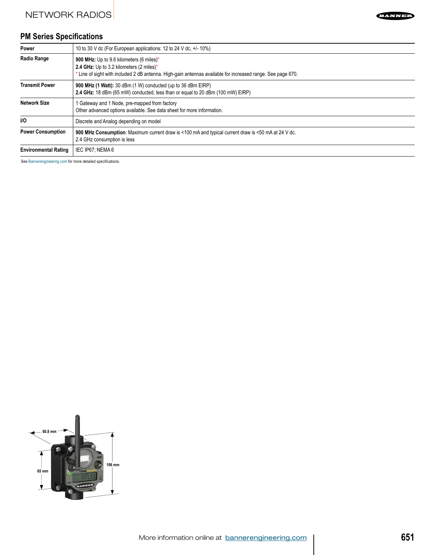# **PM Series Specifications**

NETWORK RADIOS

| Power                       | 10 to 30 V dc (For European applications: 12 to 24 V dc, +/- 10%)                                                                                                                                   |
|-----------------------------|-----------------------------------------------------------------------------------------------------------------------------------------------------------------------------------------------------|
| <b>Radio Range</b>          | 900 MHz: Up to 9.6 kilometers (6 miles)*<br>2.4 GHz: Up to 3.2 kilometers (2 miles)*<br>* Line of sight with included 2 dB antenna. High-gain antennas available for increased range. See page 670. |
| <b>Transmit Power</b>       | <b>900 MHz (1 Watt):</b> 30 dBm (1 W) conducted (up to 36 dBm EIRP)<br>2.4 GHz: 18 dBm (65 mW) conducted, less than or equal to 20 dBm (100 mW) EIRP)                                               |
| <b>Network Size</b>         | 1 Gateway and 1 Node, pre-mapped from factory<br>Other advanced options available. See data sheet for more information.                                                                             |
| <b>VO</b>                   | Discrete and Analog depending on model                                                                                                                                                              |
| <b>Power Consumption</b>    | 900 MHz Consumption: Maximum current draw is <100 mA and typical current draw is <50 mA at 24 V dc.<br>2.4 GHz consumption is less                                                                  |
| <b>Environmental Rating</b> | IEC IP67: NEMA 6                                                                                                                                                                                    |

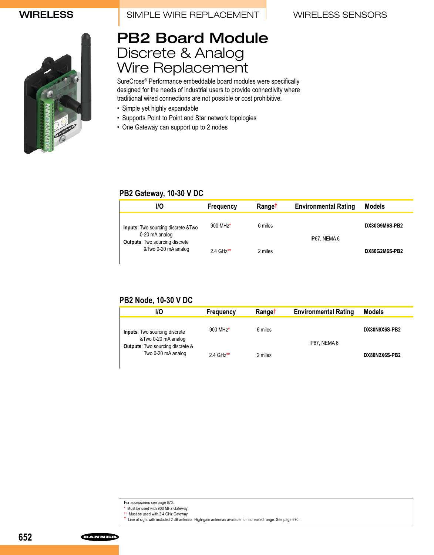WIRELESS SIMPLE WIRE REPLACEMENT WIRELESS SENSORS



# PB2 Board Module Discrete & Analog Wire Replacement

SureCross® Performance embeddable board modules were specifically designed for the needs of industrial users to provide connectivity where traditional wired connections are not possible or cost prohibitive.

- Simple yet highly expandable
- Supports Point to Point and Star network topologies
- One Gateway can support up to 2 nodes

### **PB2 Gateway, 10-30 V DC**

| 1/O                                                                                                   | Frequency              | <b>Ranget</b> | <b>Environmental Rating</b> | <b>Models</b> |
|-------------------------------------------------------------------------------------------------------|------------------------|---------------|-----------------------------|---------------|
| <b>Inputs:</b> Two sourcing discrete & Two<br>0-20 mA analog<br><b>Outputs:</b> Two sourcing discrete | 900 MHz*               | 6 miles       | IP67. NEMA 6                | DX80G9M6S-PB2 |
| &Two 0-20 mA analog                                                                                   | $2.4 \text{ GHz}^{**}$ | 2 miles       |                             | DX80G2M6S-PB2 |

### **PB2 Node, 10-30 V DC**

| 1/O                                                                                                    | Frequency              | <b>Ranget</b> | <b>Environmental Rating</b> | <b>Models</b> |
|--------------------------------------------------------------------------------------------------------|------------------------|---------------|-----------------------------|---------------|
| <b>Inputs:</b> Two sourcing discrete<br>&Two 0-20 mA analog<br><b>Outputs:</b> Two sourcing discrete & | 900 MHz*               | 6 miles       | IP67. NEMA 6                | DX80N9X6S-PB2 |
| Two 0-20 mA analog                                                                                     | $2.4 \text{ GHz}^{**}$ | 2 miles       |                             | DX80N2X6S-PB2 |

† Line of sight with included 2 dB antenna. High-gain antennas available for increased range. See page 670.

**652**

For accessories see page 670.

<sup>\*</sup> Must be used with 900 MHz Gateway

<sup>\*\*</sup> Must be used with 2.4 GHz Gateway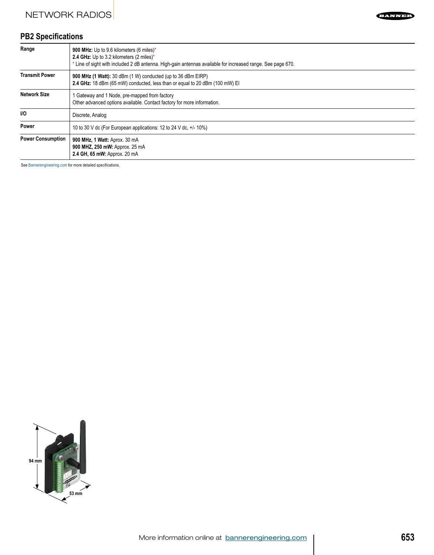## **PB2 Specifications**

| Range                    | 900 MHz: Up to 9.6 kilometers (6 miles)*<br>2.4 GHz: Up to 3.2 kilometers (2 miles)*<br>Line of sight with included 2 dB antenna. High-gain antennas available for increased range. See page 670. |
|--------------------------|---------------------------------------------------------------------------------------------------------------------------------------------------------------------------------------------------|
| <b>Transmit Power</b>    | 900 MHz (1 Watt): 30 dBm (1 W) conducted (up to 36 dBm EIRP)<br>2.4 GHz: 18 dBm (65 mW) conducted, less than or equal to 20 dBm (100 mW) EI                                                       |
| <b>Network Size</b>      | Gateway and 1 Node, pre-mapped from factory<br>Other advanced options available. Contact factory for more information.                                                                            |
| <b>VO</b>                | Discrete, Analog                                                                                                                                                                                  |
| Power                    | 10 to 30 V dc (For European applications: 12 to 24 V dc, $+/-10\%$ )                                                                                                                              |
| <b>Power Consumption</b> | 900 MHz, 1 Watt: Aprox. 30 mA<br>900 MHZ, 250 mW: Approx. 25 mA<br>2.4 GH, 65 mW; Approx, 20 mA                                                                                                   |

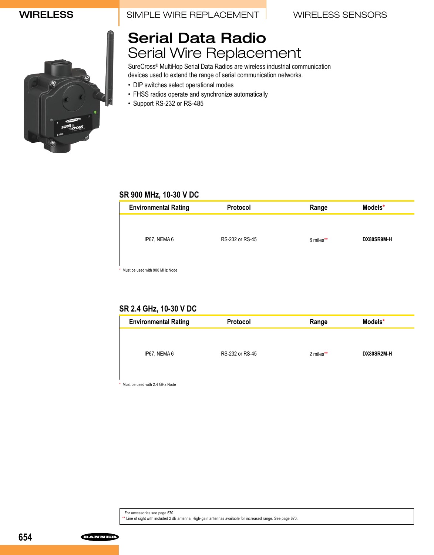WIRELESS SIMPLE WIRE REPLACEMENT WIRELESS SENSORS



# Serial Data Radio Serial Wire Replacement

SureCross® MultiHop Serial Data Radios are wireless industrial communication devices used to extend the range of serial communication networks.

- DIP switches select operational modes
- FHSS radios operate and synchronize automatically
- Support RS-232 or RS-485

### **SR 900 MHz, 10-30 V DC**

| <b>Environmental Rating</b>    | Protocol        | Range     | Models*    |
|--------------------------------|-----------------|-----------|------------|
|                                |                 |           |            |
| IP67, NEMA 6                   | RS-232 or RS-45 |           | DX80SR9M-H |
|                                |                 | 6 miles** |            |
|                                |                 |           |            |
| Must be used with 900 MHz Node |                 |           |            |

### **SR 2.4 GHz, 10-30 V DC**

| <b>Environmental Rating</b> | <b>Protocol</b> | Range     | Models*    |
|-----------------------------|-----------------|-----------|------------|
|                             |                 |           |            |
| IP67, NEMA 6                | RS-232 or RS-45 | 2 miles** | DX80SR2M-H |
|                             |                 |           |            |

\* Must be used with 2.4 GHz Node

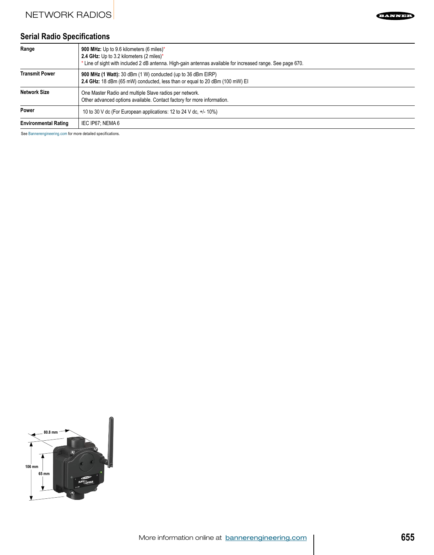## **Serial Radio Specifications**

| Range                       | 900 MHz: Up to 9.6 kilometers (6 miles)*<br>2.4 GHz: Up to 3.2 kilometers (2 miles)*<br>* Line of sight with included 2 dB antenna. High-gain antennas available for increased range. See page 670. |
|-----------------------------|-----------------------------------------------------------------------------------------------------------------------------------------------------------------------------------------------------|
| <b>Transmit Power</b>       | 900 MHz (1 Watt): 30 dBm (1 W) conducted (up to 36 dBm EIRP)<br>2.4 GHz: 18 dBm (65 mW) conducted, less than or equal to 20 dBm (100 mW) EI                                                         |
| <b>Network Size</b>         | One Master Radio and multiple Slave radios per network.<br>Other advanced options available. Contact factory for more information.                                                                  |
| <b>Power</b>                | 10 to 30 V dc (For European applications: 12 to 24 V dc, $+/-10\%$ )                                                                                                                                |
| <b>Environmental Rating</b> | IEC IP67; NEMA 6                                                                                                                                                                                    |

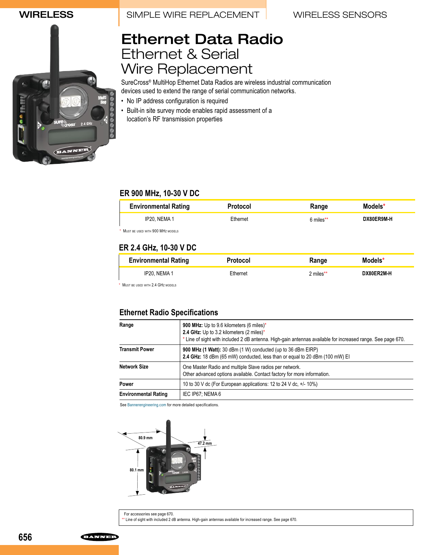WIRELESS SIMPLE WIRE REPLACEMENT WIRELESS SENSORS



# Ethernet Data Radio Ethernet & Serial Wire Replacement

SureCross® MultiHop Ethernet Data Radios are wireless industrial communication devices used to extend the range of serial communication networks.

- No IP address configuration is required
- Built-in site survey mode enables rapid assessment of a location's RF transmission properties

### **ER 900 MHz, 10-30 V DC**

| <b>Environmental Rating</b>        | <b>Protocol</b> | Range     | Models*           |
|------------------------------------|-----------------|-----------|-------------------|
| IP20. NEMA 1                       | Ethernet        | 6 miles** | <b>DX80ER9M-H</b> |
| * MUST BE USED WITH 900 MHZ MODELS |                 |           |                   |

### **ER 2.4 GHz, 10-30 V DC**

| <b>Environmental Rating</b> | <b>Protocol</b> | Range     | Models*    |
|-----------------------------|-----------------|-----------|------------|
| IP20. NEMA 1                | Ethernet        | 2 miles** | DX80ER2M-H |

\* Must be used with 2.4 GHz MODELS

### **Ethernet Radio Specifications**

| Range                       | 900 MHz: Up to 9.6 kilometers (6 miles)*<br>2.4 GHz: Up to 3.2 kilometers $(2 \text{ miles})^*$<br>* Line of sight with included 2 dB antenna. High-gain antennas available for increased range. See page 670. |
|-----------------------------|----------------------------------------------------------------------------------------------------------------------------------------------------------------------------------------------------------------|
| Transmit Power              | 900 MHz (1 Watt): 30 dBm (1 W) conducted (up to 36 dBm EIRP)<br>2.4 GHz: 18 dBm (65 mW) conducted, less than or equal to 20 dBm (100 mW) EI                                                                    |
| Network Size                | One Master Radio and multiple Slave radios per network.<br>Other advanced options available. Contact factory for more information.                                                                             |
| Power                       | 10 to 30 V dc (For European applications: 12 to 24 V dc, $+/-10\%$ )                                                                                                                                           |
| <b>Environmental Rating</b> | IEC IP67. NEMA 6                                                                                                                                                                                               |

See Bannerengineering.com for more detailed specifications.



For accessories see page 670. \*\* Line of sight with included 2 dB antenna. High-gain antennas available for increased range. See page 670.

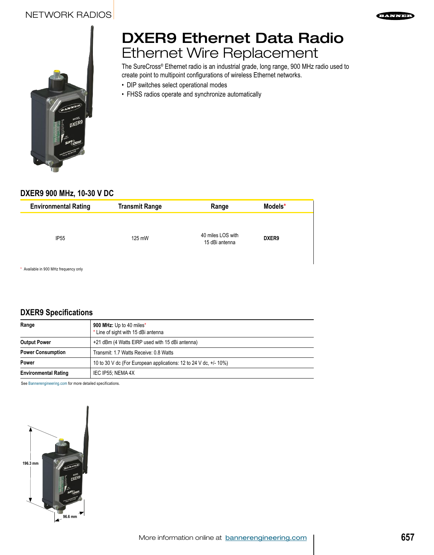



# DXER9 Ethernet Data Radio Ethernet Wire Replacement

The SureCross® Ethernet radio is an industrial grade, long range, 900 MHz radio used to create point to multipoint configurations of wireless Ethernet networks.

- DIP switches select operational modes
- FHSS radios operate and synchronize automatically

### **DXER9 900 MHz, 10-30 V DC**

| <b>Environmental Rating</b> | <b>Transmit Range</b> | Range                               | Models*           |  |
|-----------------------------|-----------------------|-------------------------------------|-------------------|--|
| IP <sub>55</sub>            | 125 mW                | 40 miles LOS with<br>15 dBi antenna | DXER <sub>9</sub> |  |

\* Available in 900 MHz frequency only

### **DXER9 Specifications**

| Range                       | 900 MHz: Up to 40 miles*<br>* Line of sight with 15 dBi antenna   |
|-----------------------------|-------------------------------------------------------------------|
| <b>Output Power</b>         | +21 dBm (4 Watts EIRP used with 15 dBi antenna)                   |
| <b>Power Consumption</b>    | Transmit: 1.7 Watts Receive: 0.8 Watts                            |
| Power                       | 10 to 30 V dc (For European applications: 12 to 24 V dc. +/- 10%) |
| <b>Environmental Rating</b> | IEC IP55: NEMA 4X                                                 |

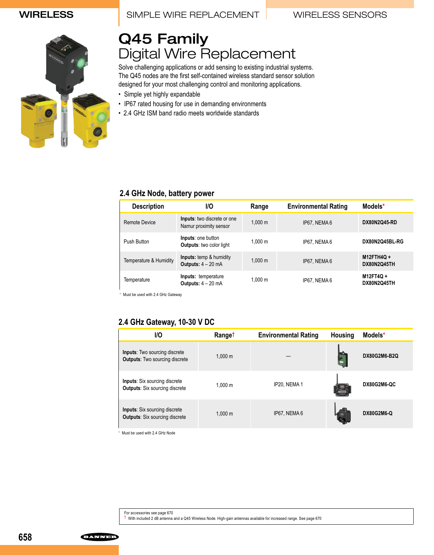### WIRELESS **I** SIMPLE WIRE REPLACEMENT WIRELESS SENSORS



# Q45 Family Digital Wire Replacement

Solve challenging applications or add sensing to existing industrial systems. The Q45 nodes are the first self-contained wireless standard sensor solution designed for your most challenging control and monitoring applications.

- Simple yet highly expandable
- IP67 rated housing for use in demanding environments
- 2.4 GHz ISM band radio meets worldwide standards

### **2.4 GHz Node, battery power**

| <b>Description</b>     | VO                                                           | Range             | <b>Environmental Rating</b> | Models*                  |
|------------------------|--------------------------------------------------------------|-------------------|-----------------------------|--------------------------|
| Remote Device          | Inputs: two discrete or one<br>Namur proximity sensor        | $1.000 \;{\rm m}$ | IP67. NEMA 6                | <b>DX80N2Q45-RD</b>      |
| Push Button            | <b>Inputs:</b> one button<br><b>Outputs:</b> two color light | 1.000 m           | IP67. NEMA 6                | DX80N2Q45BL-RG           |
| Temperature & Humidity | <b>Inputs:</b> temp & humidity<br>Outputs: $4 - 20$ mA       | $1.000 \;{\rm m}$ | IP67. NEMA 6                | M12FTH4Q+<br>DX80N2Q45TH |
| Temperature            | Inputs: temperature<br>Outputs: $4 - 20$ mA                  | 1.000 m           | IP67. NEMA 6                | M12FT4Q+<br>DX80N2Q45TH  |

\* Must be used with 2.4 GHz Gateway

### **2.4 GHz Gateway, 10-30 V DC**

| <b>I/O</b>                                                                    | Range <sup>t</sup> | <b>Environmental Rating</b> | <b>Housing</b> | Models*             |
|-------------------------------------------------------------------------------|--------------------|-----------------------------|----------------|---------------------|
| <b>Inputs:</b> Two sourcing discrete<br><b>Outputs:</b> Two sourcing discrete | 1.000 m            |                             |                | <b>DX80G2M6-B2Q</b> |
| <b>Inputs:</b> Six sourcing discrete<br><b>Outputs: Six sourcing discrete</b> | 1.000 m            | IP20, NEMA 1                |                | DX80G2M6-QC         |
| <b>Inputs:</b> Six sourcing discrete<br><b>Outputs: Six sourcing discrete</b> | 1.000 m            | IP67. NEMA 6                |                | <b>DX80G2M6-Q</b>   |

\* Must be used with 2.4 GHz Node

**ELWNED**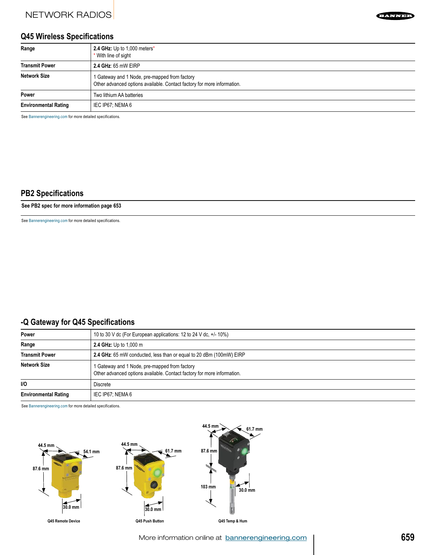### **Q45 Wireless Specifications**

| Range                       | 2.4 GHz: Up to 1,000 meters*<br>* With line of sight                                                                     |
|-----------------------------|--------------------------------------------------------------------------------------------------------------------------|
| <b>Transmit Power</b>       | 2.4 GHz: 65 mW EIRP                                                                                                      |
| Network Size                | 1 Gateway and 1 Node, pre-mapped from factory<br>Other advanced options available. Contact factory for more information. |
| Power                       | Two lithium AA batteries                                                                                                 |
| <b>Environmental Rating</b> | IEC IP67; NEMA 6                                                                                                         |

See Bannerengineering.com for more detailed specifications.

### **PB2 Specifications**

**See PB2 spec for more information page 653**

See Bannerengineering.com for more detailed specifications.

### **-Q Gateway for Q45 Specifications**

| Power                       | 10 to 30 V dc (For European applications: 12 to 24 V dc, $+/-10\%$ )                                                     |
|-----------------------------|--------------------------------------------------------------------------------------------------------------------------|
| Range                       | 2.4 GHz: Up to 1,000 m                                                                                                   |
| <b>Transmit Power</b>       | 2.4 GHz: 65 mW conducted, less than or equal to 20 dBm (100mW) EIRP                                                      |
| Network Size                | 1 Gateway and 1 Node, pre-mapped from factory<br>Other advanced options available. Contact factory for more information. |
| <b>VO</b>                   | <b>Discrete</b>                                                                                                          |
| <b>Environmental Rating</b> | IEC IP67: NEMA 6                                                                                                         |

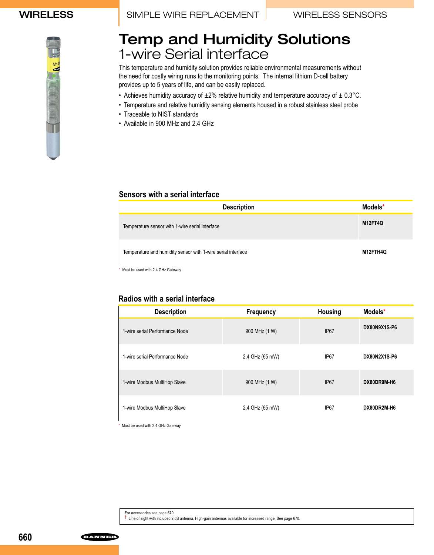# Temp and Humidity Solutions 1-wire Serial interface

This temperature and humidity solution provides reliable environmental measurements without the need for costly wiring runs to the monitoring points. The internal lithium D-cell battery provides up to 5 years of life, and can be easily replaced.

- Achieves humidity accuracy of  $\pm 2\%$  relative humidity and temperature accuracy of  $\pm 0.3^{\circ}$ C.
- Temperature and relative humidity sensing elements housed in a robust stainless steel probe
- Traceable to NIST standards
- Available in 900 MHz and 2.4 GHz

### **Sensors with a serial interface**

| <b>Description</b>                                           | Models*        |
|--------------------------------------------------------------|----------------|
| Temperature sensor with 1-wire serial interface              | <b>M12FT4Q</b> |
| Temperature and humidity sensor with 1-wire serial interface | M12FTH4Q       |

Must be used with 2.4 GHz Gateway

### **Radios with a serial interface**

| <b>Description</b>             | <b>Frequency</b> | <b>Housing</b>   | Models*             |
|--------------------------------|------------------|------------------|---------------------|
| 1-wire serial Performance Node | 900 MHz (1 W)    | IP <sub>67</sub> | DX80N9X1S-P6        |
| 1-wire serial Performance Node | 2.4 GHz (65 mW)  | IP <sub>67</sub> | <b>DX80N2X1S-P6</b> |
| 1-wire Modbus MultiHop Slave   | 900 MHz (1 W)    | IP <sub>67</sub> | DX80DR9M-H6         |
| 1-wire Modbus MultiHop Slave   | 2.4 GHz (65 mW)  | IP <sub>67</sub> | DX80DR2M-H6         |

\* Must be used with 2.4 GHz Gateway

For accessories see page 670. † Line of sight with included 2 dB antenna. High-gain antennas available for increased range. See page 670.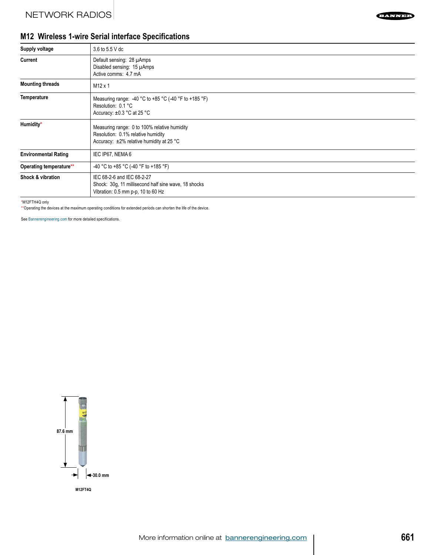

## **M12 Wireless 1-wire Serial interface Specifications**

| Supply voltage              | 3.6 to 5.5 V dc                                                                                                                |
|-----------------------------|--------------------------------------------------------------------------------------------------------------------------------|
| Current                     | Default sensing: 28 µAmps<br>Disabled sensing: 15 µAmps<br>Active comms: 4.7 mA                                                |
| <b>Mounting threads</b>     | M <sub>12</sub> x 1                                                                                                            |
| <b>Temperature</b>          | Measuring range: -40 °C to +85 °C (-40 °F to +185 °F)<br>Resolution: 0.1 °C<br>Accuracy: $\pm 0.3$ °C at 25 °C                 |
| Humidity*                   | Measuring range: 0 to 100% relative humidity<br>Resolution: 0.1% relative humidity<br>Accuracy: ±2% relative humidity at 25 °C |
| <b>Environmental Rating</b> | IEC IP67, NEMA 6                                                                                                               |
| Operating temperature**     | -40 °C to +85 °C (-40 °F to +185 °F)                                                                                           |
| Shock & vibration           | IEC 68-2-6 and IEC 68-2-27<br>Shock: 30g, 11 millisecond half sine wave, 18 shocks<br>Vibration: 0.5 mm p-p, 10 to 60 Hz       |

\*M12FTH4Q only

\*\*Operating the devices at the maximum operating conditions for extended periods can shorten the life of the device.

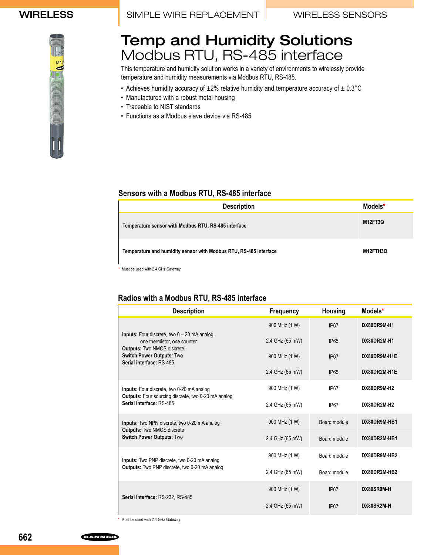# Temp and Humidity Solutions Modbus RTU, RS-485 interface

This temperature and humidity solution works in a variety of environments to wirelessly provide temperature and humidity measurements via Modbus RTU, RS-485.

- Achieves humidity accuracy of ±2% relative humidity and temperature accuracy of ± 0.3°C
- Manufactured with a robust metal housing
- Traceable to NIST standards
- Functions as a Modbus slave device via RS-485

### **Sensors with a Modbus RTU, RS-485 interface**

| <b>Description</b>                                                | Models*  |
|-------------------------------------------------------------------|----------|
| Temperature sensor with Modbus RTU, RS-485 interface              | M12FT3Q  |
| Temperature and humidity sensor with Modbus RTU, RS-485 interface | M12FTH3Q |

\* Must be used with 2.4 GHz Gateway

### **Radios with a Modbus RTU, RS-485 interface**

| <b>Description</b>                                                                                | <b>Frequency</b> | <b>Housing</b>   | Models*      |
|---------------------------------------------------------------------------------------------------|------------------|------------------|--------------|
|                                                                                                   | 900 MHz (1 W)    | IP <sub>67</sub> | DX80DR9M-H1  |
| <b>Inputs:</b> Four discrete, two $0 - 20$ mA analog.<br>one thermistor, one counter              | 2.4 GHz (65 mW)  | <b>IP65</b>      | DX80DR2M-H1  |
| <b>Outputs: Two NMOS discrete</b><br><b>Switch Power Outputs: Two</b><br>Serial interface: RS-485 | 900 MHz (1 W)    | IP <sub>67</sub> | DX80DR9M-H1E |
|                                                                                                   | 2.4 GHz (65 mW)  | IP <sub>65</sub> | DX80DR2M-H1E |
| Inputs: Four discrete, two 0-20 mA analog                                                         | 900 MHz (1 W)    | IP <sub>67</sub> | DX80DR9M-H2  |
| <b>Outputs:</b> Four sourcing discrete, two 0-20 mA analog<br>Serial interface: RS-485            | 2.4 GHz (65 mW)  | IP <sub>67</sub> | DX80DR2M-H2  |
| <b>Inputs:</b> Two NPN discrete, two 0-20 mA analog                                               | 900 MHz (1 W)    | Board module     | DX80DR9M-HB1 |
| <b>Outputs: Two NMOS discrete</b><br><b>Switch Power Outputs: Two</b>                             | 2.4 GHz (65 mW)  | Board module     | DX80DR2M-HB1 |
| Inputs: Two PNP discrete, two 0-20 mA analog                                                      | 900 MHz (1 W)    | Board module     | DX80DR9M-HB2 |
| <b>Outputs:</b> Two PNP discrete, two 0-20 mA analog                                              | 2.4 GHz (65 mW)  | Board module     | DX80DR2M-HB2 |
|                                                                                                   | 900 MHz (1 W)    | IP67             | DX80SR9M-H   |
| Serial interface: RS-232, RS-485                                                                  | 2.4 GHz (65 mW)  | IP67             | DX80SR2M-H   |

\* Must be used with 2.4 GHz Gateway

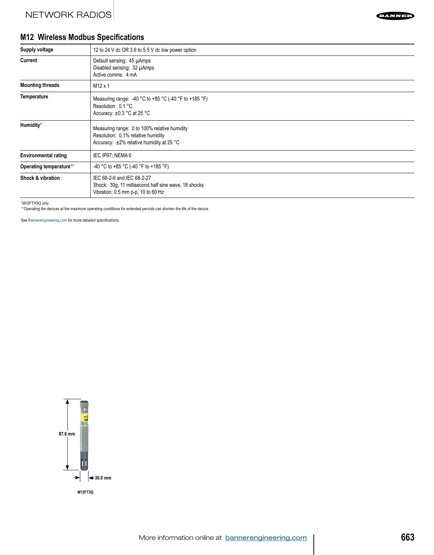

## **M12 Wireless Modbus Specifications**

| Supply voltage              | 12 to 24 V dc OR 3.6 to 5.5 V dc low power option                                                                                    |
|-----------------------------|--------------------------------------------------------------------------------------------------------------------------------------|
| Current                     | Default sensing: 45 µAmps<br>Disabled sensing: 32 µAmps<br>Active comms: 4 mA                                                        |
| <b>Mounting threads</b>     | M <sub>12</sub> x 1                                                                                                                  |
| <b>Temperature</b>          | Measuring range: -40 °C to +85 °C (-40 °F to +185 °F)<br>Resolution: 0.1 °C<br>Accuracy: $\pm 0.3$ °C at 25 °C                       |
| Humidity*                   | Measuring range: 0 to 100% relative humidity<br>Resolution: 0.1% relative humidity<br>Accuracy: $\pm 2\%$ relative humidity at 25 °C |
| <b>Environmental rating</b> | IEC IP67; NEMA 6                                                                                                                     |
| Operating temperature**     | -40 °C to +85 °C (-40 °F to +185 °F)                                                                                                 |
| Shock & vibration           | IEC 68-2-6 and IEC 68-2-27<br>Shock: 30g, 11 millisecond half sine wave, 18 shocks<br>Vibration: 0.5 mm p-p, 10 to 60 Hz             |

\*M12FTH3Q only

\*\*Operating the devices at the maximum operating conditions for extended periods can shorten the life of the device.

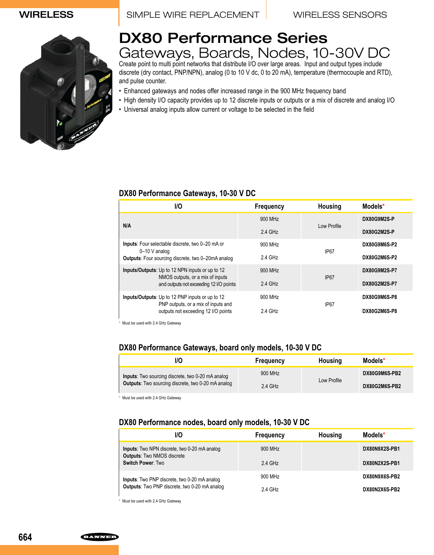WIRELESS **I** SIMPLE WIRE REPLACEMENT WIRELESS SENSORS



# DX80 Performance Series Gateways, Boards, Nodes, 10-30V DC

Create point to multi point networks that distribute I/O over large areas. Input and output types include discrete (dry contact, PNP/NPN), analog (0 to 10 V dc, 0 to 20 mA), temperature (thermocouple and RTD), and pulse counter.

- Enhanced gateways and nodes offer increased range in the 900 MHz frequency band
- High density I/O capacity provides up to 12 discrete inputs or outputs or a mix of discrete and analog I/O
- Universal analog inputs allow current or voltage to be selected in the field

#### **DX80 Performance Gateways, 10-30 V DC**

| 1/O                                                                         | Frequency           | <b>Housing</b>   | Models*             |
|-----------------------------------------------------------------------------|---------------------|------------------|---------------------|
| N/A                                                                         | 900 MHz             | Low Profile      | DX80G9M2S-P         |
|                                                                             | $2.4$ GHz           |                  | DX80G2M2S-P         |
| <b>Inputs:</b> Four selectable discrete, two 0-20 mA or<br>0-10 V analog    | 900 MH <sub>z</sub> | IP <sub>67</sub> | DX80G9M6S-P2        |
| <b>Outputs:</b> Four sourcing discrete, two 0-20mA analog                   | 2.4 GHz             |                  | <b>DX80G2M6S-P2</b> |
| <b>Inputs/Outputs:</b> Up to 12 NPN inputs or up to 12                      | 900 MH <sub>z</sub> | IP67             | DX80G9M2S-P7        |
| NMOS outputs, or a mix of inputs<br>and outputs not exceeding 12 I/O points | $2.4$ GHz           |                  | <b>DX80G2M2S-P7</b> |
| <b>Inputs/Outputs:</b> Up to 12 PNP inputs or up to 12                      | 900 MH <sub>z</sub> |                  | DX80G9M6S-P8        |
| PNP outputs, or a mix of inputs and<br>outputs not exceeding 12 I/O points  | 2.4 GHz             | IP67             | DX80G2M6S-P8        |

\* Must be used with 2.4 GHz Gateway

#### **DX80 Performance Gateways, board only models, 10-30 V DC**

|  | /O                                                                                                                    | <b>Frequency</b>    | Housing     | Models*              |
|--|-----------------------------------------------------------------------------------------------------------------------|---------------------|-------------|----------------------|
|  | <b>Inputs:</b> Two sourcing discrete, two 0-20 mA analog<br><b>Outputs:</b> Two sourcing discrete, two 0-20 mA analog | 900 MH <sub>z</sub> | Low Profile | DX80G9M6S-PB2        |
|  |                                                                                                                       | 2.4 GHz             |             | <b>DX80G2M6S-PB2</b> |

\* Must be used with 2.4 GHz Gateway

#### **DX80 Performance nodes, board only models, 10-30 V DC**

| l/O                                                                                                    | <b>Frequency</b>    | Housing | Models*              |
|--------------------------------------------------------------------------------------------------------|---------------------|---------|----------------------|
| Inputs: Two NPN discrete, two 0-20 mA analog<br><b>Outputs: Two NMOS discrete</b><br>Switch Power: Two | 900 MH <sub>z</sub> |         | <b>DX80N9X2S-PB1</b> |
|                                                                                                        | $2.4$ GHz           |         | <b>DX80N2X2S-PB1</b> |
| <b>Inputs:</b> Two PNP discrete, two 0-20 mA analog<br>Outputs: Two PNP discrete, two 0-20 mA analog   | 900 MH <sub>7</sub> |         | DX80N9X6S-PB2        |
|                                                                                                        | $2.4$ GHz           |         | DX80N2X6S-PB2        |

\* Must be used with 2.4 GHz Gateway

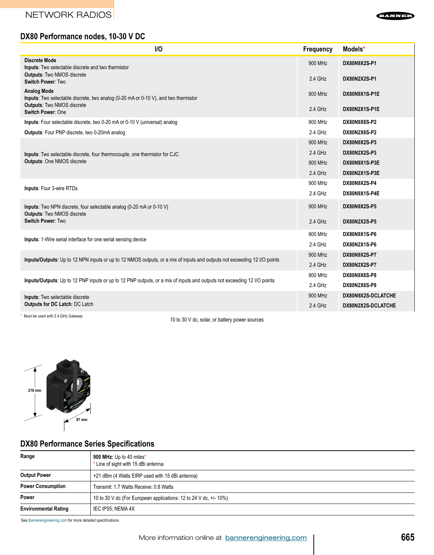

### **DX80 Performance nodes, 10-30 V DC**

| <b>I/O</b>                                                                                                                                  | <b>Frequency</b> | Models*             |
|---------------------------------------------------------------------------------------------------------------------------------------------|------------------|---------------------|
| <b>Discrete Mode</b><br><b>Inputs:</b> Two selectable discrete and two thermistor<br><b>Outputs: Two NMOS discrete</b><br>Switch Power: Two |                  | DX80N9X2S-P1        |
|                                                                                                                                             |                  | DX80N2X2S-P1        |
| <b>Analog Mode</b><br><b>Inputs:</b> Two selectable discrete, two analog (0-20 mA or 0-10 V), and two thermistor                            | 900 MHz          | DX80N9X1S-P1E       |
| <b>Outputs: Two NMOS discrete</b><br>Switch Power: One                                                                                      | 2.4 GHz          | DX80N2X1S-P1E       |
| Inputs: Four selectable discrete, two 0-20 mA or 0-10 V (universal) analog                                                                  | 900 MHz          | <b>DX80N9X6S-P2</b> |
| <b>Outputs:</b> Four PNP discrete, two 0-20mA analog                                                                                        | 2.4 GHz          | DX80N2X6S-P2        |
|                                                                                                                                             | 900 MHz          | <b>DX80N9X2S-P3</b> |
| Inputs: Two selectable discrete, four thermocouple, one thermistor for CJC                                                                  | 2.4 GHz          | DX80N2X2S-P3        |
| <b>Outputs: One NMOS discrete</b>                                                                                                           | 900 MHz          | DX80N9X1S-P3E       |
|                                                                                                                                             | 2.4 GHz          | DX80N2X1S-P3E       |
|                                                                                                                                             | 900 MHz          | DX80N9X2S-P4        |
| <b>Inputs: Four 3-wire RTDs</b>                                                                                                             | 2.4 GHz          | DX80N9X1S-P4E       |
| Inputs: Two NPN discrete, four selectable analog (0-20 mA or 0-10 V)<br><b>Outputs: Two NMOS discrete</b>                                   | 900 MHz          | DX80N9X2S-P5        |
| <b>Switch Power: Two</b>                                                                                                                    | 2.4 GHz          | <b>DX80N2X2S-P5</b> |
| <b>Inputs:</b> 1-Wire serial interface for one serial sensing device                                                                        | 900 MHz          | DX80N9X1S-P6        |
|                                                                                                                                             | 2.4 GHz          | DX80N2X1S-P6        |
|                                                                                                                                             | 900 MHz          | DX80N9X2S-P7        |
| Inputs/Outputs: Up to 12 NPN inputs or up to 12 NMOS outputs, or a mix of inputs and outputs not exceeding 12 I/O points                    |                  | <b>DX80N2X2S-P7</b> |
|                                                                                                                                             |                  | DX80N9X6S-P8        |
| Inputs/Outputs: Up to 12 PNP inputs or up to 12 PNP outputs, or a mix of inputs and outputs not exceeding 12 I/O points                     | 2.4 GHz          | DX80N2X6S-P8        |
| Inputs: Two selectable discrete                                                                                                             | 900 MHz          | DX80N9X2S-DCLATCHE  |
| <b>Outputs for DC Latch: DC Latch</b>                                                                                                       | 2.4 GHz          | DX80N2X2S-DCLATCHE  |
| $\cdots$ $\cdots$ $\cdots$ $\cdots$                                                                                                         |                  |                     |

Must be used with 2.4 GHz Gateway 10 to 30 V dc, solar, or battery power sources



### **DX80 Performance Series Specifications**

| Range                       | 900 MHz: Up to 40 miles*<br>* Line of sight with 15 dBi antenna   |
|-----------------------------|-------------------------------------------------------------------|
| <b>Output Power</b>         | +21 dBm (4 Watts EIRP used with 15 dBi antenna)                   |
| <b>Power Consumption</b>    | Transmit: 1.7 Watts Receive: 0.8 Watts                            |
| Power                       | 10 to 30 V dc (For European applications: 12 to 24 V dc, +/- 10%) |
| <b>Environmental Rating</b> | IEC IP55, NEMA 4X                                                 |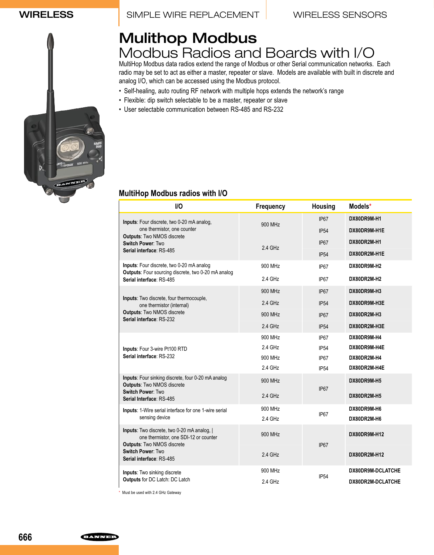### WIRELESS **I** SIMPLE WIRE REPLACEMENT WIRELESS SENSORS

# Mulithop Modbus Modbus Radios and Boards with I/O

MultiHop Modbus data radios extend the range of Modbus or other Serial communication networks. Each radio may be set to act as either a master, repeater or slave. Models are available with built in discrete and analog I/O, which can be accessed using the Modbus protocol.

- Self-healing, auto routing RF network with multiple hops extends the network's range
- Flexible: dip switch selectable to be a master, repeater or slave
- User selectable communication between RS-485 and RS-232

### **MultiHop Modbus radios with I/O**

| I/O                                                                                                                                      | Frequency | <b>Housing</b>   | Models*                  |
|------------------------------------------------------------------------------------------------------------------------------------------|-----------|------------------|--------------------------|
| Inputs: Four discrete, two 0-20 mA analog,                                                                                               | 900 MHz   | <b>IP67</b>      | DX80DR9M-H1              |
| one thermistor, one counter                                                                                                              |           | IP54             | DX80DR9M-H1E             |
| <b>Outputs: Two NMOS discrete</b><br>Switch Power: Two                                                                                   |           | IP <sub>67</sub> | DX80DR2M-H1              |
| Serial interface: RS-485                                                                                                                 | $2.4$ GHz | IP54             | DX80DR2M-H1E             |
| Inputs: Four discrete, two 0-20 mA analog                                                                                                | 900 MHz   | IP67             | DX80DR9M-H2              |
| Outputs: Four sourcing discrete, two 0-20 mA analog<br>Serial interface: RS-485                                                          | 2.4 GHz   | IP67             | DX80DR2M-H2              |
|                                                                                                                                          | 900 MHz   | IP <sub>67</sub> | DX80DR9M-H3              |
| Inputs: Two discrete, four thermocouple,<br>one thermistor (internal)                                                                    | $2.4$ GHz | IP54             | DX80DR9M-H3E             |
| <b>Outputs: Two NMOS discrete</b><br>Serial interface: RS-232                                                                            | 900 MHz   | IP <sub>67</sub> | DX80DR2M-H3              |
|                                                                                                                                          | 2.4 GHz   | IP54             | DX80DR2M-H3E             |
|                                                                                                                                          | 900 MHz   | IP67             | DX80DR9M-H4              |
| Inputs: Four 3-wire Pt100 RTD<br>Serial interface: RS-232                                                                                | $2.4$ GHz | <b>IP54</b>      | DX80DR9M-H4E             |
|                                                                                                                                          | 900 MHz   | IP67             | DX80DR2M-H4              |
|                                                                                                                                          | $2.4$ GHz | IP <sub>54</sub> | DX80DR2M-H4E             |
| Inputs: Four sinking discrete, four 0-20 mA analog<br><b>Outputs: Two NMOS discrete</b><br>Switch Power: Two<br>Serial Interface: RS-485 | 900 MHz   | IP <sub>67</sub> | DX80DR9M-H5              |
|                                                                                                                                          | $2.4$ GHz |                  | DX80DR2M-H5              |
| Inputs: 1-Wire serial interface for one 1-wire serial                                                                                    | 900 MHz   | IP <sub>67</sub> | DX80DR9M-H6              |
| sensing device                                                                                                                           | 2.4 GHz   |                  | DX80DR2M-H6              |
| Inputs: Two discrete, two 0-20 mA analog,  <br>one thermistor, one SDI-12 or counter<br><b>Outputs: Two NMOS discrete</b>                | 900 MHz   | IP <sub>67</sub> | DX80DR9M-H12             |
| Switch Power: Two<br>Serial interface: RS-485                                                                                            | 2.4 GHz   |                  | DX80DR2M-H12             |
| Inputs: Two sinking discrete                                                                                                             | 900 MHz   | IP <sub>54</sub> | DX80DR9M-DCLATCHE        |
| <b>Outputs</b> for DC Latch: DC Latch                                                                                                    | 2.4 GHz   |                  | <b>DX80DR2M-DCLATCHE</b> |

\* Must be used with 2.4 GHz Gateway

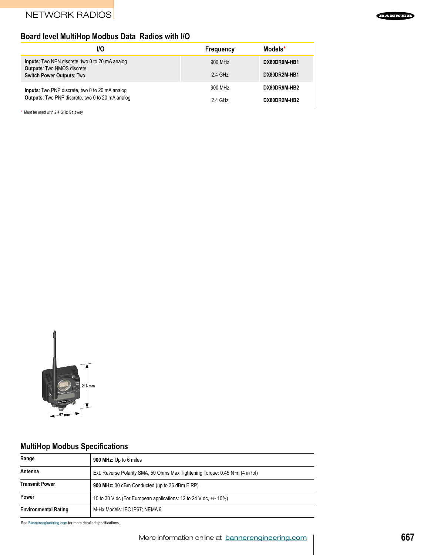## **Board level MultiHop Modbus Data Radios with I/O**

| 1/O                                                                                                                             | Frequency           | Models*      |
|---------------------------------------------------------------------------------------------------------------------------------|---------------------|--------------|
| <b>Inputs:</b> Two NPN discrete, two 0 to 20 mA analog<br><b>Outputs: Two NMOS discrete</b><br><b>Switch Power Outputs: Two</b> | 900 MH <sub>z</sub> | DX80DR9M-HB1 |
|                                                                                                                                 | 2.4 GHz             | DX80DR2M-HB1 |
| <b>Inputs:</b> Two PNP discrete, two 0 to 20 mA analog                                                                          | 900 MH <sub>7</sub> | DX80DR9M-HB2 |
| <b>Outputs:</b> Two PNP discrete, two 0 to 20 mA analog                                                                         | 2.4 GHz             | DX80DR2M-HB2 |

\* Must be used with 2.4 GHz Gateway



## **MultiHop Modbus Specifications**

| Range                                                                                    | 900 MHz: Up to 6 miles                                            |  |
|------------------------------------------------------------------------------------------|-------------------------------------------------------------------|--|
| Antenna<br>Ext. Reverse Polarity SMA, 50 Ohms Max Tightening Torque: 0.45 N m (4 in lbf) |                                                                   |  |
| <b>Transmit Power</b>                                                                    | 900 MHz: 30 dBm Conducted (up to 36 dBm EIRP)                     |  |
| Power                                                                                    | 10 to 30 V dc (For European applications: 12 to 24 V dc. +/- 10%) |  |
| <b>Environmental Rating</b>                                                              | M-Hx Models: IEC IP67: NEMA 6                                     |  |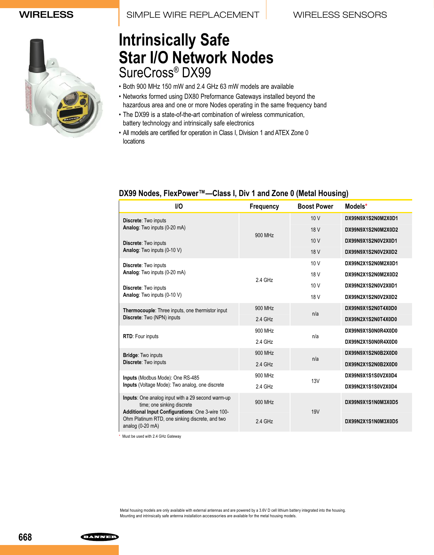

# **Intrinsically Safe Star I/O Network Nodes** SureCross® DX99

- Both 900 MHz 150 mW and 2.4 GHz 63 mW models are available
- Networks formed using DX80 Preformance Gateways installed beyond the hazardous area and one or more Nodes operating in the same frequency band
- The DX99 is a state-of-the-art combination of wireless communication, battery technology and intrinsically safe electronics
- All models are certified for operation in Class I, Division 1 and ATEX Zone 0 locations

| I/O                                                                                                                                 | <b>Frequency</b> | <b>Boost Power</b> | Models*            |
|-------------------------------------------------------------------------------------------------------------------------------------|------------------|--------------------|--------------------|
| Discrete: Two inputs                                                                                                                |                  | 10V                | DX99N9X1S2N0M2X0D1 |
| Analog: Two inputs (0-20 mA)                                                                                                        | 900 MHz          | 18 V               | DX99N9X1S2N0M2X0D2 |
| Discrete: Two inputs                                                                                                                |                  | 10V                | DX99N9X1S2N0V2X0D1 |
| Analog: Two inputs (0-10 V)                                                                                                         |                  | 18 V               | DX99N9X1S2N0V2X0D2 |
| Discrete: Two inputs                                                                                                                |                  | 10V                | DX99N2X1S2N0M2X0D1 |
| Analog: Two inputs (0-20 mA)                                                                                                        | 2.4 GHz          | 18 V               | DX99N2X1S2N0M2X0D2 |
| Discrete: Two inputs                                                                                                                |                  | 10 <sub>V</sub>    | DX99N2X1S2N0V2X0D1 |
| Analog: Two inputs (0-10 V)                                                                                                         |                  | 18 V               | DX99N2X1S2N0V2X0D2 |
| Thermocouple: Three inputs, one thermistor input                                                                                    | 900 MHz          | n/a                | DX99N9X1S2N0T4X0D0 |
| Discrete: Two (NPN) inputs                                                                                                          | $2.4$ GHz        |                    | DX99N2X1S2N0T4X0D0 |
| RTD: Four inputs<br><b>Bridge: Two inputs</b>                                                                                       | 900 MHz          | n/a                | DX99N9X1S0N0R4X0D0 |
|                                                                                                                                     | 2.4 GHz          |                    | DX99N2X1S0N0R4X0D0 |
|                                                                                                                                     | 900 MHz          | n/a                | DX99N9X1S2N0B2X0D0 |
| Discrete: Two inputs                                                                                                                | $2.4$ GHz        |                    | DX99N2X1S2N0B2X0D0 |
| Inputs (Modbus Mode): One RS-485                                                                                                    | 900 MHz          | 13V                | DX99N9X1S1S0V2X0D4 |
| Inputs (Voltage Mode): Two analog, one discrete                                                                                     | 2.4 GHz          |                    | DX99N2X1S1S0V2X0D4 |
| Inputs: One analog input with a 29 second warm-up<br>time; one sinking discrete<br>Additional Input Configurations: One 3-wire 100- | 900 MHz          | <b>19V</b>         | DX99N9X1S1N0M3X0D5 |
| Ohm Platinum RTD, one sinking discrete, and two<br>analog $(0-20 \text{ mA})$                                                       | $2.4$ GHz        |                    | DX99N2X1S1N0M3X0D5 |

### **DX99 Nodes, FlexPower™—Class I, Div 1 and Zone 0 (Metal Housing)**

\* Must be used with 2.4 GHz Gateway

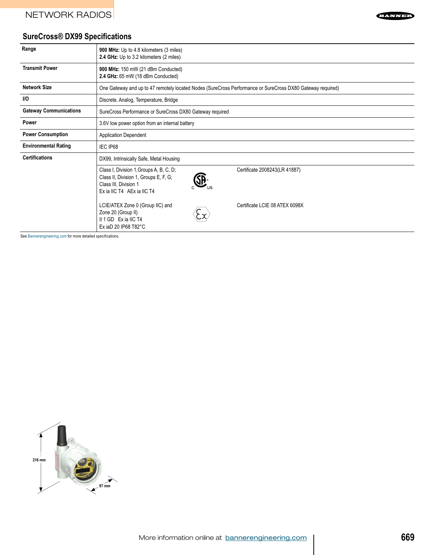

## **SureCross® DX99 Specifications**

| Range                         | 900 MHz: Up to 4.8 kilometers (3 miles)<br>2.4 GHz: Up to 3.2 kilometers (2 miles)                                                      |  |                                                                                                            |
|-------------------------------|-----------------------------------------------------------------------------------------------------------------------------------------|--|------------------------------------------------------------------------------------------------------------|
| <b>Transmit Power</b>         | 900 MHz: 150 mW (21 dBm Conducted)<br>2.4 GHz: 65 mW (18 dBm Conducted)                                                                 |  |                                                                                                            |
| <b>Network Size</b>           |                                                                                                                                         |  | One Gateway and up to 47 remotely located Nodes (SureCross Performance or SureCross DX80 Gateway required) |
| <b>I/O</b>                    | Discrete, Analog, Temperature, Bridge                                                                                                   |  |                                                                                                            |
| <b>Gateway Communications</b> | SureCross Performance or SureCross DX80 Gateway required                                                                                |  |                                                                                                            |
| Power                         | 3.6V low power option from an internal battery                                                                                          |  |                                                                                                            |
| <b>Power Consumption</b>      | <b>Application Dependent</b>                                                                                                            |  |                                                                                                            |
| <b>Environmental Rating</b>   | IEC IP68                                                                                                                                |  |                                                                                                            |
| <b>Certifications</b>         | DX99, Intrinsically Safe, Metal Housing                                                                                                 |  |                                                                                                            |
|                               | Class I, Division 1, Groups A, B, C, D;<br>Class II, Division 1, Groups E, F, G;<br>Class III, Division 1<br>Ex ia IIC T4 AEx ia IIC T4 |  | Certificate 2008243(LR 41887)                                                                              |
|                               | LCIE/ATEX Zone 0 (Group IIC) and<br>Zone 20 (Group II)<br>II 1 GD Ex ia IIC T4<br>Ex iaD 20 IP68 T82°C                                  |  | Certificate LCIE 08 ATEX 6098X                                                                             |

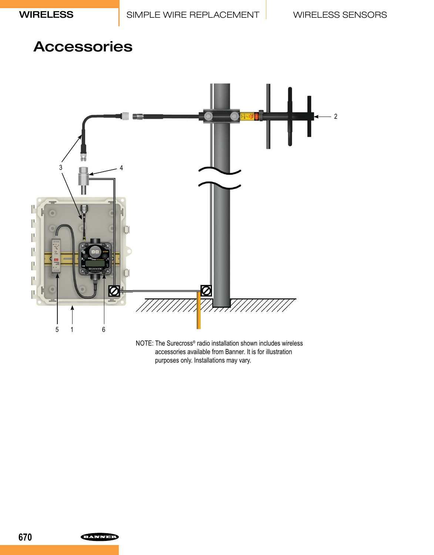# Accessories



NOTE: The Surecross® radio installation shown includes wireless accessories available from Banner. It is for illustration purposes only. Installations may vary.

**ELANNED**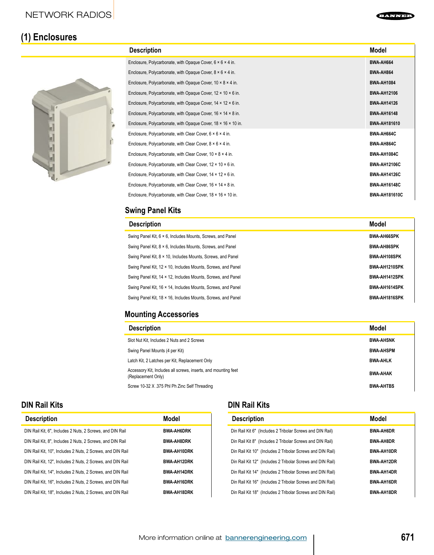#### EANNE

# **(1) Enclosures**



| <b>Description</b>                                                       | Model                |
|--------------------------------------------------------------------------|----------------------|
| Enclosure, Polycarbonate, with Opaque Cover, $6 \times 6 \times 4$ in.   | BWA-AH664            |
| Enclosure, Polycarbonate, with Opaque Cover, $8 \times 6 \times 4$ in.   | <b>BWA-AH864</b>     |
| Enclosure, Polycarbonate, with Opaque Cover, $10 \times 8 \times 4$ in.  | <b>BWA-AH1084</b>    |
| Enclosure, Polycarbonate, with Opaque Cover, $12 \times 10 \times 6$ in. | <b>BWA-AH12106</b>   |
| Enclosure, Polycarbonate, with Opaque Cover, $14 \times 12 \times 6$ in. | <b>BWA-AH14126</b>   |
| Enclosure, Polycarbonate, with Opaque Cover, 16 × 14 × 8 in.             | <b>BWA-AH16148</b>   |
| Enclosure, Polycarbonate, with Opaque Cover, 18 x 16 x 10 in.            | <b>BWA-AH181610</b>  |
| Enclosure, Polycarbonate, with Clear Cover, $6 \times 6 \times 4$ in.    | BWA-AH664C           |
| Enclosure, Polycarbonate, with Clear Cover, $8 \times 6 \times 4$ in.    | BWA-AH864C           |
| Enclosure, Polycarbonate, with Clear Cover, 10 × 8 × 4 in.               | BWA-AH1084C          |
| Enclosure, Polycarbonate, with Clear Cover, $12 \times 10 \times 6$ in.  | <b>BWA-AH12106C</b>  |
| Enclosure, Polycarbonate, with Clear Cover, 14 x 12 x 6 in.              | <b>BWA-AH14126C</b>  |
| Enclosure, Polycarbonate, with Clear Cover, 16 x 14 x 8 in.              | <b>BWA-AH16148C</b>  |
| Enclosure, Polycarbonate, with Clear Cover, 18 x 16 x 10 in.             | <b>BWA-AH181610C</b> |
|                                                                          |                      |

## **Swing Panel Kits**

| <b>Description</b>                                           | Model               |
|--------------------------------------------------------------|---------------------|
| Swing Panel Kit, 6 x 6, Includes Mounts, Screws, and Panel   | <b>BWA-AH66SPK</b>  |
| Swing Panel Kit, 8 × 6, Includes Mounts, Screws, and Panel   | <b>BWA-AH86SPK</b>  |
| Swing Panel Kit, 8 x 10, Includes Mounts, Screws, and Panel  | <b>BWA-AH108SPK</b> |
| Swing Panel Kit, 12 x 10. Includes Mounts, Screws, and Panel | BWA-AH1210SPK       |
| Swing Panel Kit, 14 x 12, Includes Mounts, Screws, and Panel | BWA-AH1412SPK       |
| Swing Panel Kit, 16 x 14. Includes Mounts, Screws, and Panel | BWA-AH1614SPK       |
| Swing Panel Kit, 18 x 16, Includes Mounts, Screws, and Panel | BWA-AH1816SPK       |

## **Mounting Accessories**

| <b>Description</b>                                                                   | Model            |
|--------------------------------------------------------------------------------------|------------------|
| Slot Nut Kit, Includes 2 Nuts and 2 Screws                                           | <b>BWA-AHSNK</b> |
| Swing Panel Mounts (4 per Kit)                                                       | <b>BWA-AHSPM</b> |
| Latch Kit, 2 Latches per Kit, Replacement Only                                       | <b>BWA-AHLK</b>  |
| Accessory Kit, Includes all screws, inserts, and mounting feet<br>(Replacement Only) | <b>BWA-AHAK</b>  |
| Screw 10-32 X .375 Phl Ph Zinc Self Threading                                        | <b>BWA-AHTBS</b> |

### **DIN Rail Kits**

| <b>Description</b>                                         | Model              |
|------------------------------------------------------------|--------------------|
| DIN Rail Kit, 6", Includes 2 Nuts, 2 Screws, and DIN Rail  | <b>BWA-AH6DRK</b>  |
| DIN Rail Kit. 8". Includes 2 Nuts. 2 Screws, and DIN Rail  | <b>BWA-AH8DRK</b>  |
| DIN Rail Kit, 10", Includes 2 Nuts, 2 Screws, and DIN Rail | <b>BWA-AH10DRK</b> |
| DIN Rail Kit, 12", Includes 2 Nuts, 2 Screws, and DIN Rail | <b>BWA-AH12DRK</b> |
| DIN Rail Kit. 14". Includes 2 Nuts. 2 Screws, and DIN Rail | <b>BWA-AH14DRK</b> |
| DIN Rail Kit. 16". Includes 2 Nuts. 2 Screws, and DIN Rail | <b>BWA-AH16DRK</b> |
| DIN Rail Kit, 18", Includes 2 Nuts, 2 Screws, and DIN Rail | <b>BWA-AH18DRK</b> |

## **DIN Rail Kits**

| <b>Description</b>                                         | Model             |
|------------------------------------------------------------|-------------------|
| Din Rail Kit 6" (Includes 2 Tribolar Screws and DIN Rail)  | <b>BWA-AH6DR</b>  |
| Din Rail Kit 8" (Includes 2 Tribolar Screws and DIN Rail)  | <b>BWA-AH8DR</b>  |
| Din Rail Kit 10" (Includes 2 Tribolar Screws and DIN Rail) | <b>BWA-AH10DR</b> |
| Din Rail Kit 12" (Includes 2 Tribolar Screws and DIN Rail) | <b>BWA-AH12DR</b> |
| Din Rail Kit 14" (Includes 2 Tribolar Screws and DIN Rail) | <b>BWA-AH14DR</b> |
| Din Rail Kit 16" (Includes 2 Tribolar Screws and DIN Rail) | <b>BWA-AH16DR</b> |
| Din Rail Kit 18" (Includes 2 Tribolar Screws and DIN Rail) | <b>BWA-AH18DR</b> |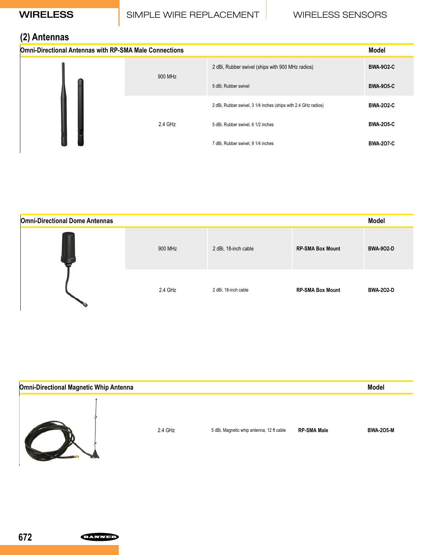# WIRELESS SIMPLE WIRE REPLACEMENT WIRELESS SENSORS

# **(2) Antennas**

| $\cdot$ $\cdot$<br><b>Omni-Directional Antennas with RP-SMA Male Connections</b> |         |                                                                | <b>Model</b>     |
|----------------------------------------------------------------------------------|---------|----------------------------------------------------------------|------------------|
|                                                                                  | 900 MHz | 2 dBi, Rubber swivel (ships with 900 MHz radios)               | <b>BWA-902-C</b> |
|                                                                                  |         | 5 dBi, Rubber swivel                                           | <b>BWA-905-C</b> |
|                                                                                  |         | 2 dBi, Rubber swivel, 3 1/4 inches (ships with 2.4 GHz radios) | <b>BWA-202-C</b> |
|                                                                                  | 2.4 GHz | 5 dBi, Rubber swivel, 6 1/2 inches                             | <b>BWA-205-C</b> |
|                                                                                  |         | 7 dBi, Rubber swivel, 9 1/4 inches                             | <b>BWA-207-C</b> |

| <b>Omni-Directional Dome Antennas</b> |         |                      |                         | <b>Model</b>     |
|---------------------------------------|---------|----------------------|-------------------------|------------------|
|                                       | 900 MHz | 2 dBi, 18-inch cable | <b>RP-SMA Box Mount</b> | <b>BWA-902-D</b> |
|                                       | 2.4 GHz | 2 dBi, 18-inch cable | <b>RP-SMA Box Mount</b> | <b>BWA-202-D</b> |

| <b>Omni-Directional Magnetic Whip Antenna</b> |         |                                           |                    | <b>Model</b>     |
|-----------------------------------------------|---------|-------------------------------------------|--------------------|------------------|
|                                               | 2.4 GHz | 5 dBi, Magnetic whip antenna, 12 ft cable | <b>RP-SMA Male</b> | <b>BWA-205-M</b> |

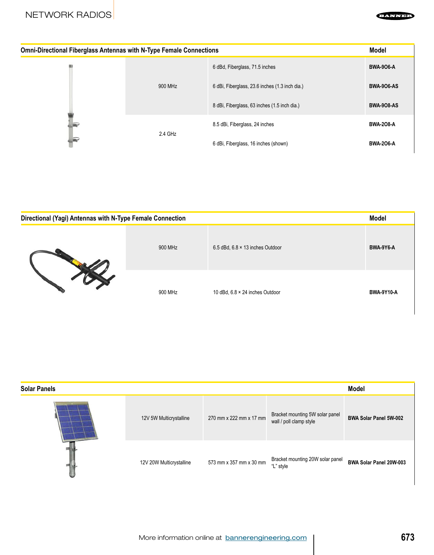#### **EANNE**

| <b>Omni-Directional Fiberglass Antennas with N-Type Female Connections</b> |         |                                                | <b>Model</b>      |
|----------------------------------------------------------------------------|---------|------------------------------------------------|-------------------|
|                                                                            |         | 6 dBd, Fiberglass, 71.5 inches                 | <b>BWA 906-A</b>  |
|                                                                            | 900 MHz | 6 dBi, Fiberglass, 23.6 inches (1.3 inch dia.) | <b>BWA-906-AS</b> |
|                                                                            |         | 8 dBi, Fiberglass, 63 inches (1.5 inch dia.)   | <b>BWA-908-AS</b> |
|                                                                            | 2.4 GHz | 8.5 dBi, Fiberglass, 24 inches                 | <b>BWA-208-A</b>  |
| $\sqrt{2}$                                                                 |         | 6 dBi, Fiberglass, 16 inches (shown)           | <b>BWA-206-A</b>  |

| Directional (Yagi) Antennas with N-Type Female Connection |         |                                         | Model             |
|-----------------------------------------------------------|---------|-----------------------------------------|-------------------|
|                                                           | 900 MHz | 6.5 dBd, $6.8 \times 13$ inches Outdoor | BWA-9Y6-A         |
|                                                           | 900 MHz | 10 dBd, 6.8 × 24 inches Outdoor         | <b>BWA-9Y10-A</b> |

| <b>Solar Panels</b> |                          |                         |                                                            | <b>Model</b>                  |
|---------------------|--------------------------|-------------------------|------------------------------------------------------------|-------------------------------|
|                     | 12V 5W Multicrystalline  | 270 mm x 222 mm x 17 mm | Bracket mounting 5W solar panel<br>wall / poll clamp style | <b>BWA Solar Panel 5W-002</b> |
|                     | 12V 20W Multicrystalline | 573 mm x 357 mm x 30 mm | Bracket mounting 20W solar panel<br>"L" style              | BWA Solar Panel 20W-003       |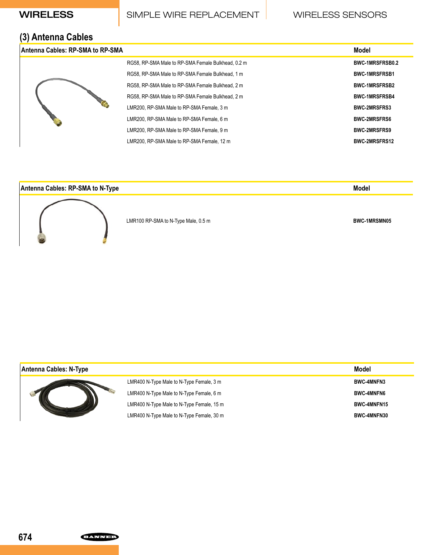## WIRELESS SIMPLE WIRE REPLACEMENT WIRELESS SENSORS

## **(3) Antenna Cables**

|  | Antenna Cables: RP-SMA to RP-SMA          |                                                    | Model                  |
|--|-------------------------------------------|----------------------------------------------------|------------------------|
|  |                                           | RG58, RP-SMA Male to RP-SMA Female Bulkhead, 0.2 m | <b>BWC-1MRSFRSB0.2</b> |
|  |                                           | RG58, RP-SMA Male to RP-SMA Female Bulkhead, 1 m   | <b>BWC-1MRSFRSB1</b>   |
|  |                                           | RG58, RP-SMA Male to RP-SMA Female Bulkhead, 2 m   | <b>BWC-1MRSFRSB2</b>   |
|  |                                           | RG58, RP-SMA Male to RP-SMA Female Bulkhead, 2 m   | <b>BWC-1MRSFRSB4</b>   |
|  |                                           | LMR200, RP-SMA Male to RP-SMA Female, 3 m          | <b>BWC-2MRSFRS3</b>    |
|  |                                           | LMR200, RP-SMA Male to RP-SMA Female, 6 m          | <b>BWC-2MRSFRS6</b>    |
|  | LMR200, RP-SMA Male to RP-SMA Female, 9 m | <b>BWC-2MRSFRS9</b>                                |                        |
|  |                                           | LMR200, RP-SMA Male to RP-SMA Female, 12 m         | <b>BWC-2MRSFRS12</b>   |

### **Antenna Cables: RP-SMA to N-Type Model**



LMR100 RP-SMA to N-Type Male, 0.5 m **BWC-1MRSMN05** 

| Antenna Cables: N-Type |                                           | Model              |
|------------------------|-------------------------------------------|--------------------|
|                        | LMR400 N-Type Male to N-Type Female, 3 m  | <b>BWC-4MNFN3</b>  |
|                        | LMR400 N-Type Male to N-Type Female, 6 m  | <b>BWC-4MNFN6</b>  |
|                        | LMR400 N-Type Male to N-Type Female, 15 m | <b>BWC-4MNFN15</b> |
|                        | LMR400 N-Type Male to N-Type Female, 30 m | <b>BWC-4MNFN30</b> |

**ELANNED**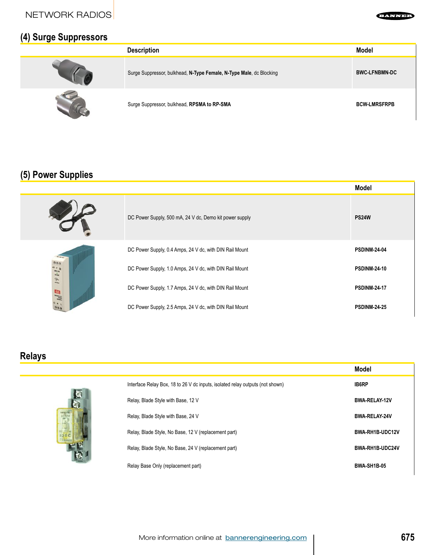NETWORK RADIOS



## **(4) Surge Suppressors**

| $\cdot$ $\cdot$<br>-<br>. . | <b>Description</b>                                                  | <b>Model</b>         |
|-----------------------------|---------------------------------------------------------------------|----------------------|
|                             | Surge Suppressor, bulkhead, N-Type Female, N-Type Male, dc Blocking | <b>BWC-LFNBMN-DC</b> |
|                             | Surge Suppressor, bulkhead, RPSMA to RP-SMA                         | <b>BCW-LMRSFRPB</b>  |

# **(5) Power Supplies**

|                                                           |                                                         | <b>Model</b>        |
|-----------------------------------------------------------|---------------------------------------------------------|---------------------|
|                                                           | DC Power Supply, 500 mA, 24 V dc, Demo kit power supply | <b>PS24W</b>        |
|                                                           | DC Power Supply, 0.4 Amps, 24 V dc, with DIN Rail Mount | <b>PSDINM-24-04</b> |
| <b>BBB</b><br>$B + B$<br><b>SWITCH</b><br>$\frac{1}{200}$ | DC Power Supply, 1.0 Amps, 24 V dc, with DIN Rail Mount | <b>PSDINM-24-10</b> |
| $\mathbb{R}$<br>国                                         | DC Power Supply, 1.7 Amps, 24 V dc, with DIN Rail Mount | <b>PSDINM-24-17</b> |
| 9H1                                                       | DC Power Supply, 2.5 Amps, 24 V dc, with DIN Rail Mount | <b>PSDINM-24-25</b> |

## **Relays**



|                                                                               | Model                  |
|-------------------------------------------------------------------------------|------------------------|
| Interface Relay Box, 18 to 26 V dc inputs, isolated relay outputs (not shown) | <b>IB6RP</b>           |
| Relay, Blade Style with Base, 12 V                                            | <b>BWA-RELAY-12V</b>   |
| Relay, Blade Style with Base, 24 V                                            | <b>BWA-RELAY-24V</b>   |
| Relay, Blade Style, No Base, 12 V (replacement part)                          | BWA-RH1B-UDC12V        |
| Relay, Blade Style, No Base, 24 V (replacement part)                          | <b>BWA-RH1B-UDC24V</b> |
| Relay Base Only (replacement part)                                            | <b>BWA-SH1B-05</b>     |